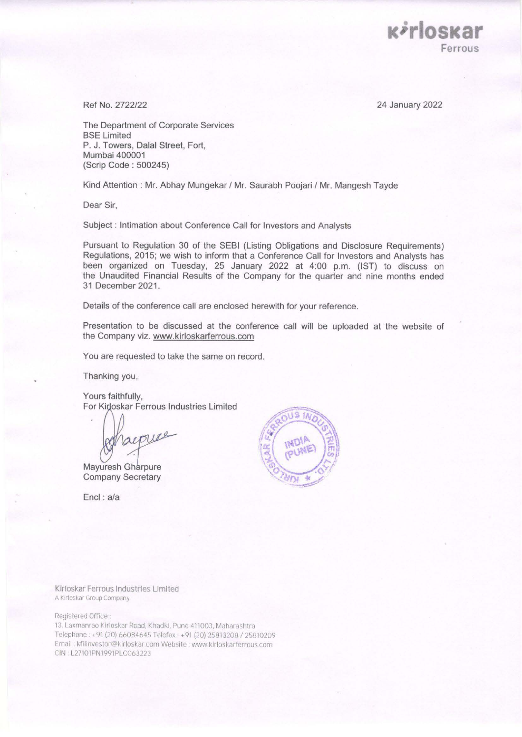24 January 2022

**K***r*loskar

**Ferrous** 

Ref No. 2722/22

The Department of Corporate Services BSE Limited P. J. Towers, Dalal Street, Fort, Mumbai 400001 (Scrip Code : 500245)

Kind Attention : Mr. Abhay Mungekar / Mr. Saurabh Poojari / Mr. Mangesh Tayde

Dear Sir,

Subject : Intimation about Conference Call for Investors and Analysts

Pursuant to Regulation 30 of the SEBI (Listing Obligations and Disclosure Requirements) Regulations, 2015; we wish to inform that a Conference Call for Investors and Analysts has been organized on Tuesday, 25 January 2022 at 4:00 p.m. (1ST) to discuss on the Unaudited Financial Results of the Company for the quarter and nine months ended 31 December 2021.

Details of the conference call are enclosed herewith for your reference.

Presentation to be discussed at the conference call will be uploaded at the website of the Company viz. www.kirloskarferrous.com

You are requested to take the same on record.

Thanking you,

Yours faithfully, For Kirloskar Ferrous Industries Limited

appure

Mayuresh Gharpure **Company Secretary** 

Encl : a/a



Kirloskar Ferrous Industries Limited A Kirloskar Group Company

Registered Office .

13, Laxmanrao Kirloskar Road, Khadki, Pune 411003, Maharashtra Telephone: +91 (20) 66084645 Telefax: +91 (20) 25813208 / 25810209 Email . kfilinvestor@kirloskar.com Website . www.kirloskarferrous.com CIN: L27101PN1991PLC063223